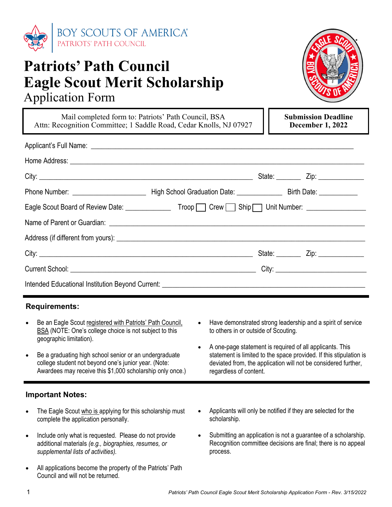

# **Patriots' Path Council Eagle Scout Merit Scholarship**  Application Form



Mail completed form to: Patriots' Path Council, BSA Attn: Recognition Committee; 1 Saddle Road, Cedar Knolls, NJ 07927 **Submission Deadline December 1, 2022** 

| Eagle Scout Board of Review Date: __________________Troop _____ Crew _____ Ship _____ Unit Number: _________________ |  |  |
|----------------------------------------------------------------------------------------------------------------------|--|--|
|                                                                                                                      |  |  |
|                                                                                                                      |  |  |
|                                                                                                                      |  |  |
|                                                                                                                      |  |  |
|                                                                                                                      |  |  |

### **Requirements:**

- Be an Eagle Scout registered with Patriots' Path Council, **BSA** (NOTE: One's college choice is not subject to this geographic limitation).
- Be a graduating high school senior or an undergraduate college student not beyond one's junior year. (Note: Awardees may receive this \$1,000 scholarship only once.)

### **Important Notes:**

- The Eagle Scout who is applying for this scholarship must complete the application personally.
- Include only what is requested. Please do not provide additional materials *(e.g., biographies, resumes, or supplemental lists of activities).*
- All applications become the property of the Patriots' Path Council and will not be returned.
- Have demonstrated strong leadership and a spirit of service to others in or outside of Scouting.
- A one-page statement is required of all applicants. This statement is limited to the space provided. If this stipulation is deviated from, the application will not be considered further, regardless of content.
- Applicants will only be notified if they are selected for the scholarship.
- Submitting an application is not a guarantee of a scholarship. Recognition committee decisions are final; there is no appeal process.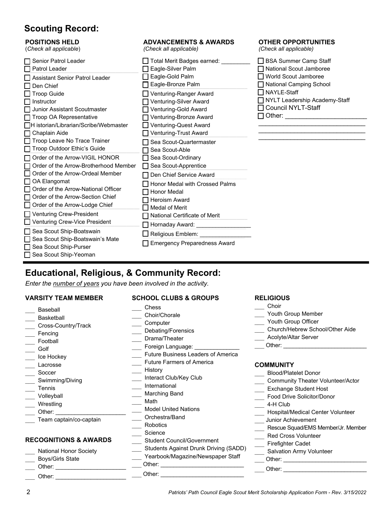## **Scouting Record:**

### **POSITIONS HELD**

(*Check all applicable*)

| Senior Patrol Leader                  | Total Merit Badges earned:          |
|---------------------------------------|-------------------------------------|
| Patrol Leader                         | Eagle-Silver Palm                   |
| Assistant Senior Patrol Leader        | Eagle-Gold Palm                     |
| Den Chief                             | Eagle-Bronze Palm                   |
| <b>Troop Guide</b>                    | Venturing-Ranger Award              |
| Instructor                            | Venturing-Silver Award              |
| Junior Assistant Scoutmaster          | Venturing-Gold Award                |
| Troop OA Representative               | Venturing-Bronze Award              |
| H istorian/Librarian/Scribe/Webmaster | Venturing-Quest Award               |
| Chaplain Aide                         | Venturing-Trust Award               |
| Troop Leave No Trace Trainer          | Sea Scout-Quartermaster             |
| Troop Outdoor Ethic's Guide           | Sea Scout-Able                      |
| Order of the Arrow-VIGIL HONOR        | Sea Scout-Ordinary                  |
| Order of the Arrow-Brotherhood Member | Sea Scout-Apprentice                |
| Order of the Arrow-Ordeal Member      | Den Chief Service Award             |
| OA Elangomat                          | Honor Medal with Crossed Palms      |
| Order of the Arrow-National Officer   | <b>Honor Medal</b>                  |
| Order of the Arrow-Section Chief      | <b>Heroism Award</b>                |
| Order of the Arrow-Lodge Chief        | <b>Medal of Merit</b>               |
| Venturing Crew-President              | National Certificate of Merit       |
| Venturing Crew-Vice President         |                                     |
|                                       | Hornaday Award:                     |
| Sea Scout Ship-Boatswain              | Religious Emblem:                   |
| Sea Scout Ship-Boatswain's Mate       | <b>Emergency Preparedness Award</b> |
| Sea Scout Ship-Purser                 |                                     |
| Sea Scout Ship-Yeoman                 |                                     |

**ADVANCEMENTS & AWARDS** 

*(Check all applicable)*

#### **OTHER OPPORTUNITIES**  *(Check all applicable)*

□ BSA Summer Camp Staff National Scout Jamboree World Scout Jamboree □ National Camping School □ NAYLE-Staff □ NYLT Leadership Academy-Staff Council NYLT-Staff  $\Box$  Other:  $\mathcal{L}_\mathcal{L}$  , which is a set of the set of the set of the set of the set of the set of the set of the set of the set of the set of the set of the set of the set of the set of the set of the set of the set of the set of

\_\_\_\_\_\_\_\_\_\_\_\_\_\_\_\_\_\_\_\_\_\_\_\_\_\_\_\_\_\_

## **Educational, Religious, & Community Record:**

*Enter the number of years you have been involved in the activity.*

#### **VARSITY TEAM MEMBER SCHOOL CLUBS & GROUPS** Chess \_\_\_ Choir/Chorale \_\_\_ Computer \_\_\_ Debating/Forensics \_\_\_ Drama/Theater Foreign Language: \_\_\_\_\_\_\_\_\_\_\_\_\_\_ **EXECUTE:** Future Business Leaders of America **Example Farmers of America Baseball** \_\_\_ Basketball Cross-Country/Track \_\_\_ Fencing \_\_\_ Football \_\_\_ Golf \_\_\_ Ice Hockey \_\_\_ Lacrosse \_\_\_ Soccer

Lastory Interact Club/Key Club \_\_\_ International \_\_\_ Marching Band Math **Model United Nations** \_\_\_ Orchestra/Band Robotics \_\_\_ Science **Student Council/Government** Students Against Drunk Driving (SADD) Yearbook/Magazine/Newspaper Staff \_\_\_ Team captain/co-captain **RECOGNITIONS & AWARDS**

 $\rule{1em}{0}$ Other:  $\_$ 

Other: \_\_\_\_\_\_\_\_\_\_\_\_\_\_\_\_\_\_\_\_\_\_\_\_\_\_

National Honor Society Boys/Girls State Other:

Swimming/Diving

\_\_\_ Tennis \_\_\_ Volleyball \_\_\_ Wrestling Other:  $\_$ 

Other:  $\frac{1}{\sqrt{1-\frac{1}{2}}\cdot\frac{1}{\sqrt{1-\frac{1}{2}}}}$ 

### **RELIGIOUS**

- Choir
- Youth Group Member
- Youth Group Officer
- Church/Hebrew School/Other Aide
- \_\_\_ Acolyte/Altar Server
- $\rule{1em}{0}$  Other:  $\frac{1}{2}$

#### **COMMUNITY** Blood/Platelet Donor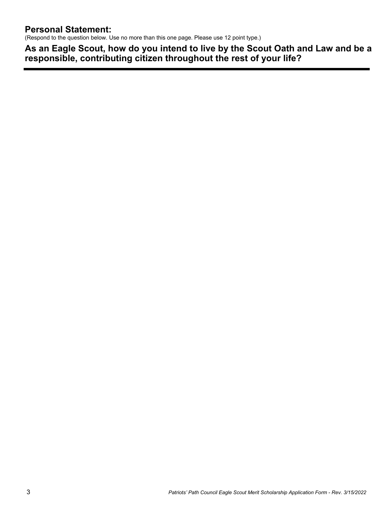(Respond to the question below. Use no more than this one page. Please use 12 point type.)

**As an Eagle Scout, how do you intend to live by the Scout Oath and Law and be a responsible, contributing citizen throughout the rest of your life?**